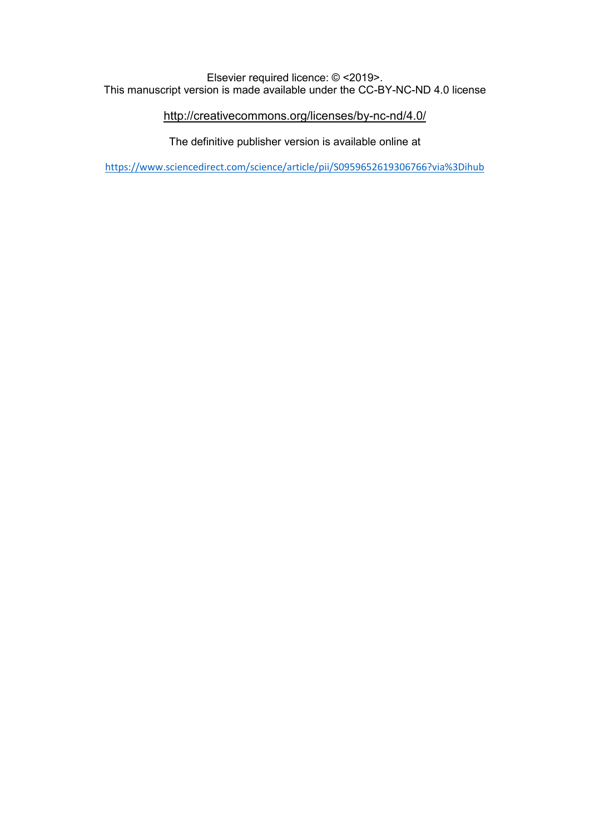### Elsevier required licence: © <2019>. This manuscript version is made available under the CC-BY-NC-ND 4.0 license

### <http://creativecommons.org/licenses/by-nc-nd/4.0/>

The definitive publisher version is available online at

<https://www.sciencedirect.com/science/article/pii/S0959652619306766?via%3Dihub>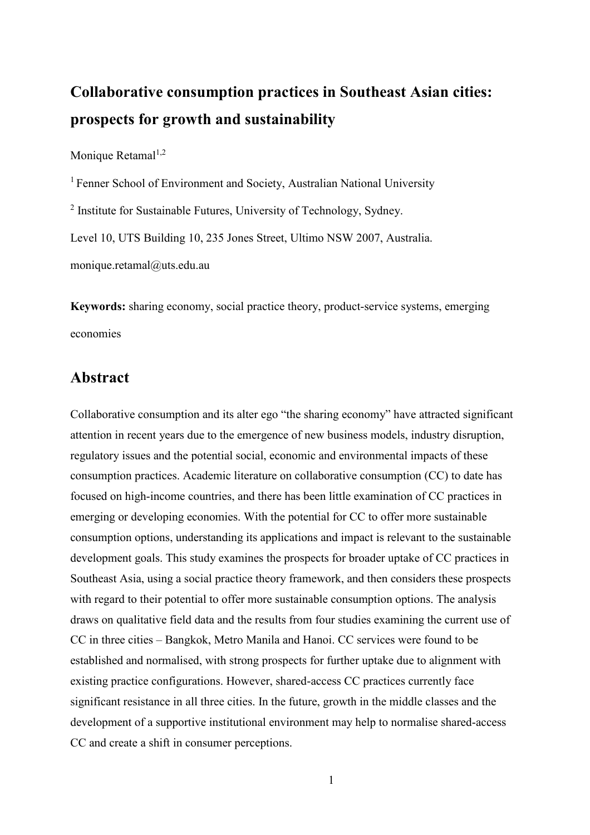# **Collaborative consumption practices in Southeast Asian cities: prospects for growth and sustainability**

Monique Retamal<sup>1,2</sup>

<sup>1</sup> Fenner School of Environment and Society, Australian National University <sup>2</sup> Institute for Sustainable Futures, University of Technology, Sydney. Level 10, UTS Building 10, 235 Jones Street, Ultimo NSW 2007, Australia. monique.retamal@uts.edu.au

**Keywords:** sharing economy, social practice theory, product-service systems, emerging economies

### **Abstract**

Collaborative consumption and its alter ego "the sharing economy" have attracted significant attention in recent years due to the emergence of new business models, industry disruption, regulatory issues and the potential social, economic and environmental impacts of these consumption practices. Academic literature on collaborative consumption (CC) to date has focused on high-income countries, and there has been little examination of CC practices in emerging or developing economies. With the potential for CC to offer more sustainable consumption options, understanding its applications and impact is relevant to the sustainable development goals. This study examines the prospects for broader uptake of CC practices in Southeast Asia, using a social practice theory framework, and then considers these prospects with regard to their potential to offer more sustainable consumption options. The analysis draws on qualitative field data and the results from four studies examining the current use of CC in three cities – Bangkok, Metro Manila and Hanoi. CC services were found to be established and normalised, with strong prospects for further uptake due to alignment with existing practice configurations. However, shared-access CC practices currently face significant resistance in all three cities. In the future, growth in the middle classes and the development of a supportive institutional environment may help to normalise shared-access CC and create a shift in consumer perceptions.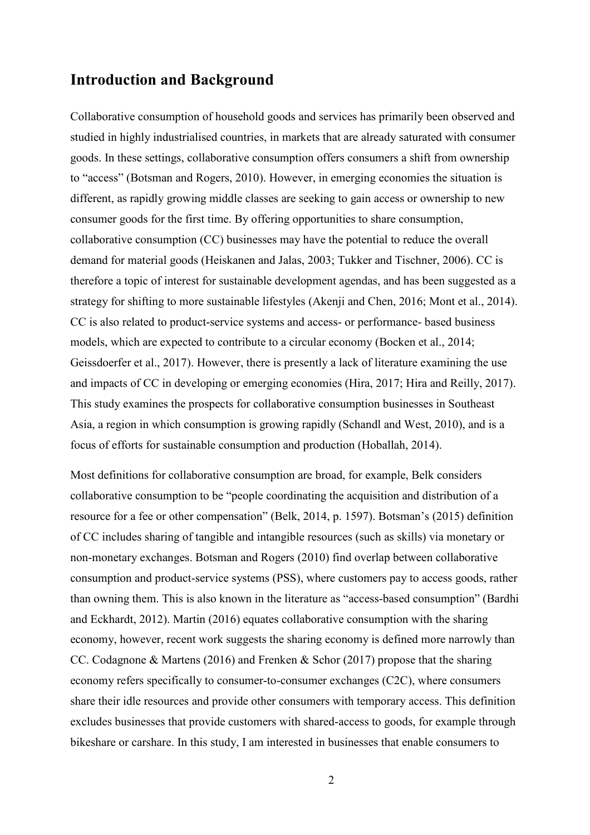# **Introduction and Background**

Collaborative consumption of household goods and services has primarily been observed and studied in highly industrialised countries, in markets that are already saturated with consumer goods. In these settings, collaborative consumption offers consumers a shift from ownership to "access" (Botsman and Rogers, 2010). However, in emerging economies the situation is different, as rapidly growing middle classes are seeking to gain access or ownership to new consumer goods for the first time. By offering opportunities to share consumption, collaborative consumption (CC) businesses may have the potential to reduce the overall demand for material goods (Heiskanen and Jalas, 2003; Tukker and Tischner, 2006). CC is therefore a topic of interest for sustainable development agendas, and has been suggested as a strategy for shifting to more sustainable lifestyles (Akenji and Chen, 2016; Mont et al., 2014). CC is also related to product-service systems and access- or performance- based business models, which are expected to contribute to a circular economy (Bocken et al., 2014; Geissdoerfer et al., 2017). However, there is presently a lack of literature examining the use and impacts of CC in developing or emerging economies (Hira, 2017; Hira and Reilly, 2017). This study examines the prospects for collaborative consumption businesses in Southeast Asia, a region in which consumption is growing rapidly (Schandl and West, 2010), and is a focus of efforts for sustainable consumption and production (Hoballah, 2014).

Most definitions for collaborative consumption are broad, for example, Belk considers collaborative consumption to be "people coordinating the acquisition and distribution of a resource for a fee or other compensation" (Belk, 2014, p. 1597). Botsman's (2015) definition of CC includes sharing of tangible and intangible resources (such as skills) via monetary or non-monetary exchanges. Botsman and Rogers (2010) find overlap between collaborative consumption and product-service systems (PSS), where customers pay to access goods, rather than owning them. This is also known in the literature as "access-based consumption" (Bardhi and Eckhardt, 2012). Martin (2016) equates collaborative consumption with the sharing economy, however, recent work suggests the sharing economy is defined more narrowly than CC. Codagnone & Martens (2016) and Frenken & Schor (2017) propose that the sharing economy refers specifically to consumer-to-consumer exchanges (C2C), where consumers share their idle resources and provide other consumers with temporary access. This definition excludes businesses that provide customers with shared-access to goods, for example through bikeshare or carshare. In this study, I am interested in businesses that enable consumers to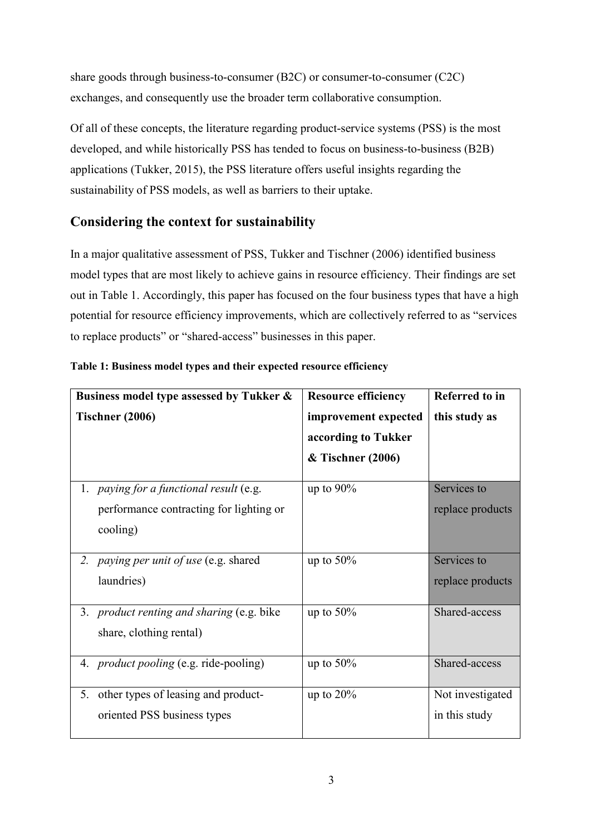share goods through business-to-consumer (B2C) or consumer-to-consumer (C2C) exchanges, and consequently use the broader term collaborative consumption.

Of all of these concepts, the literature regarding product-service systems (PSS) is the most developed, and while historically PSS has tended to focus on business-to-business (B2B) applications (Tukker, 2015), the PSS literature offers useful insights regarding the sustainability of PSS models, as well as barriers to their uptake.

# **Considering the context for sustainability**

In a major qualitative assessment of PSS, Tukker and Tischner (2006) identified business model types that are most likely to achieve gains in resource efficiency. Their findings are set out in [Table 1.](#page-3-0) Accordingly, this paper has focused on the four business types that have a high potential for resource efficiency improvements, which are collectively referred to as "services to replace products" or "shared-access" businesses in this paper.

| Business model type assessed by Tukker &                                                  | <b>Resource efficiency</b> | <b>Referred to in</b>           |
|-------------------------------------------------------------------------------------------|----------------------------|---------------------------------|
| Tischner (2006)                                                                           | improvement expected       | this study as                   |
|                                                                                           | according to Tukker        |                                 |
|                                                                                           | & Tischner (2006)          |                                 |
| 1. <i>paying for a functional result</i> (e.g.<br>performance contracting for lighting or | up to $90\%$               | Services to<br>replace products |
| cooling)                                                                                  |                            |                                 |
| 2. paying per unit of use (e.g. shared                                                    | up to $50\%$               | Services to                     |
| laundries)                                                                                |                            | replace products                |
| 3. product renting and sharing (e.g. bike                                                 | up to $50\%$               | Shared-access                   |
| share, clothing rental)                                                                   |                            |                                 |
| 4. <i>product pooling</i> (e.g. ride-pooling)                                             | up to $50\%$               | Shared-access                   |
| other types of leasing and product-<br>5.                                                 | up to $20%$                | Not investigated                |
| oriented PSS business types                                                               |                            | in this study                   |

### <span id="page-3-0"></span>**Table 1: Business model types and their expected resource efficiency**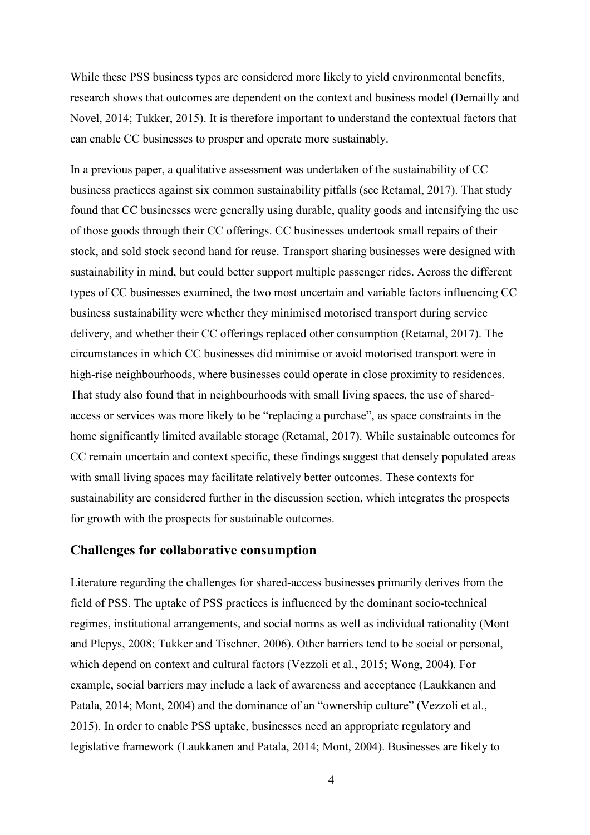While these PSS business types are considered more likely to yield environmental benefits, research shows that outcomes are dependent on the context and business model (Demailly and Novel, 2014; Tukker, 2015). It is therefore important to understand the contextual factors that can enable CC businesses to prosper and operate more sustainably.

In a previous paper, a qualitative assessment was undertaken of the sustainability of CC business practices against six common sustainability pitfalls (see Retamal, 2017). That study found that CC businesses were generally using durable, quality goods and intensifying the use of those goods through their CC offerings. CC businesses undertook small repairs of their stock, and sold stock second hand for reuse. Transport sharing businesses were designed with sustainability in mind, but could better support multiple passenger rides. Across the different types of CC businesses examined, the two most uncertain and variable factors influencing CC business sustainability were whether they minimised motorised transport during service delivery, and whether their CC offerings replaced other consumption (Retamal, 2017). The circumstances in which CC businesses did minimise or avoid motorised transport were in high-rise neighbourhoods, where businesses could operate in close proximity to residences. That study also found that in neighbourhoods with small living spaces, the use of sharedaccess or services was more likely to be "replacing a purchase", as space constraints in the home significantly limited available storage (Retamal, 2017). While sustainable outcomes for CC remain uncertain and context specific, these findings suggest that densely populated areas with small living spaces may facilitate relatively better outcomes. These contexts for sustainability are considered further in the discussion section, which integrates the prospects for growth with the prospects for sustainable outcomes.

### **Challenges for collaborative consumption**

Literature regarding the challenges for shared-access businesses primarily derives from the field of PSS. The uptake of PSS practices is influenced by the dominant socio-technical regimes, institutional arrangements, and social norms as well as individual rationality (Mont and Plepys, 2008; Tukker and Tischner, 2006). Other barriers tend to be social or personal, which depend on context and cultural factors (Vezzoli et al., 2015; Wong, 2004). For example, social barriers may include a lack of awareness and acceptance (Laukkanen and Patala, 2014; Mont, 2004) and the dominance of an "ownership culture" (Vezzoli et al., 2015). In order to enable PSS uptake, businesses need an appropriate regulatory and legislative framework (Laukkanen and Patala, 2014; Mont, 2004). Businesses are likely to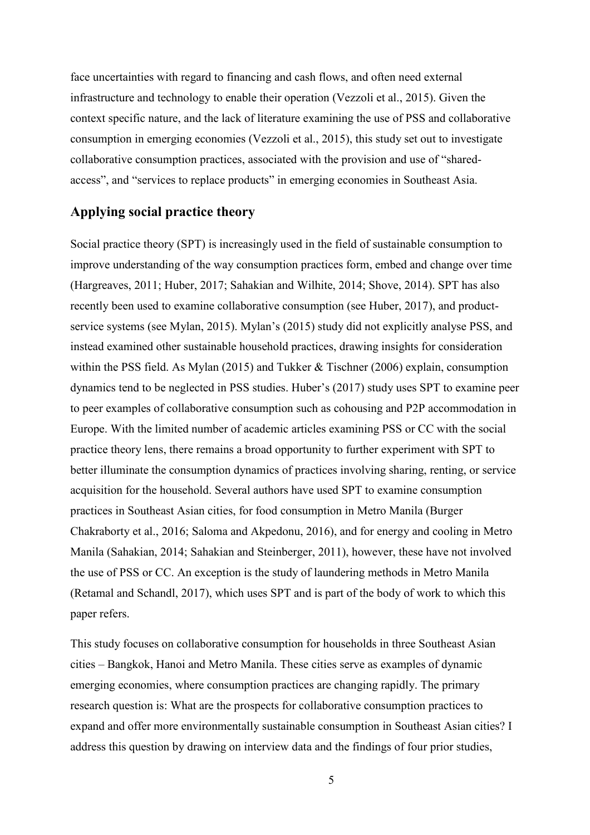face uncertainties with regard to financing and cash flows, and often need external infrastructure and technology to enable their operation (Vezzoli et al., 2015). Given the context specific nature, and the lack of literature examining the use of PSS and collaborative consumption in emerging economies (Vezzoli et al., 2015), this study set out to investigate collaborative consumption practices, associated with the provision and use of "sharedaccess", and "services to replace products" in emerging economies in Southeast Asia.

### **Applying social practice theory**

Social practice theory (SPT) is increasingly used in the field of sustainable consumption to improve understanding of the way consumption practices form, embed and change over time (Hargreaves, 2011; Huber, 2017; Sahakian and Wilhite, 2014; Shove, 2014). SPT has also recently been used to examine collaborative consumption (see Huber, 2017), and productservice systems (see Mylan, 2015). Mylan's (2015) study did not explicitly analyse PSS, and instead examined other sustainable household practices, drawing insights for consideration within the PSS field. As Mylan (2015) and Tukker & Tischner (2006) explain, consumption dynamics tend to be neglected in PSS studies. Huber's (2017) study uses SPT to examine peer to peer examples of collaborative consumption such as cohousing and P2P accommodation in Europe. With the limited number of academic articles examining PSS or CC with the social practice theory lens, there remains a broad opportunity to further experiment with SPT to better illuminate the consumption dynamics of practices involving sharing, renting, or service acquisition for the household. Several authors have used SPT to examine consumption practices in Southeast Asian cities, for food consumption in Metro Manila (Burger Chakraborty et al., 2016; Saloma and Akpedonu, 2016), and for energy and cooling in Metro Manila (Sahakian, 2014; Sahakian and Steinberger, 2011), however, these have not involved the use of PSS or CC. An exception is the study of laundering methods in Metro Manila (Retamal and Schandl, 2017), which uses SPT and is part of the body of work to which this paper refers.

This study focuses on collaborative consumption for households in three Southeast Asian cities – Bangkok, Hanoi and Metro Manila. These cities serve as examples of dynamic emerging economies, where consumption practices are changing rapidly. The primary research question is: What are the prospects for collaborative consumption practices to expand and offer more environmentally sustainable consumption in Southeast Asian cities? I address this question by drawing on interview data and the findings of four prior studies,

5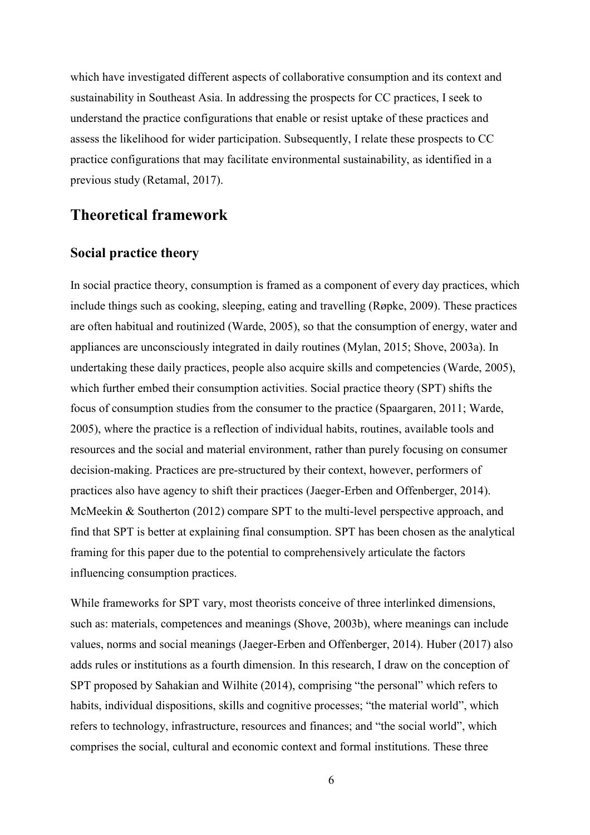which have investigated different aspects of collaborative consumption and its context and sustainability in Southeast Asia. In addressing the prospects for CC practices, I seek to understand the practice configurations that enable or resist uptake of these practices and assess the likelihood for wider participation. Subsequently, I relate these prospects to CC practice configurations that may facilitate environmental sustainability, as identified in a previous study (Retamal, 2017).

# **Theoretical framework**

### **Social practice theory**

In social practice theory, consumption is framed as a component of every day practices, which include things such as cooking, sleeping, eating and travelling (Røpke, 2009). These practices are often habitual and routinized (Warde, 2005), so that the consumption of energy, water and appliances are unconsciously integrated in daily routines (Mylan, 2015; Shove, 2003a). In undertaking these daily practices, people also acquire skills and competencies (Warde, 2005), which further embed their consumption activities. Social practice theory (SPT) shifts the focus of consumption studies from the consumer to the practice (Spaargaren, 2011; Warde, 2005), where the practice is a reflection of individual habits, routines, available tools and resources and the social and material environment, rather than purely focusing on consumer decision-making. Practices are pre-structured by their context, however, performers of practices also have agency to shift their practices (Jaeger-Erben and Offenberger, 2014). McMeekin & Southerton (2012) compare SPT to the multi-level perspective approach, and find that SPT is better at explaining final consumption. SPT has been chosen as the analytical framing for this paper due to the potential to comprehensively articulate the factors influencing consumption practices.

While frameworks for SPT vary, most theorists conceive of three interlinked dimensions, such as: materials, competences and meanings (Shove, 2003b), where meanings can include values, norms and social meanings (Jaeger-Erben and Offenberger, 2014). Huber (2017) also adds rules or institutions as a fourth dimension. In this research, I draw on the conception of SPT proposed by Sahakian and Wilhite (2014), comprising "the personal" which refers to habits, individual dispositions, skills and cognitive processes; "the material world", which refers to technology, infrastructure, resources and finances; and "the social world", which comprises the social, cultural and economic context and formal institutions. These three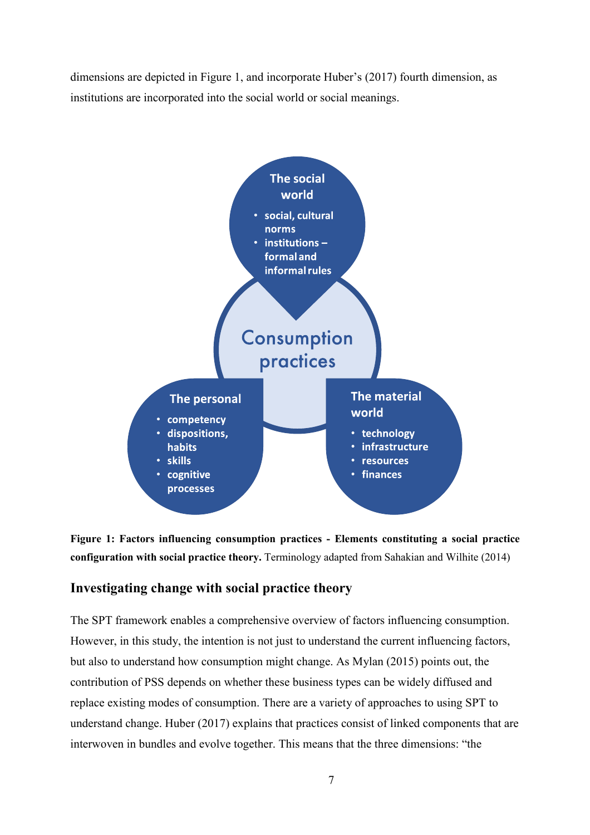dimensions are depicted in Figure 1, and incorporate Huber's (2017) fourth dimension, as institutions are incorporated into the social world or social meanings.



**Figure 1: Factors influencing consumption practices - Elements constituting a social practice configuration with social practice theory.** Terminology adapted from Sahakian and Wilhite (2014)

### **Investigating change with social practice theory**

The SPT framework enables a comprehensive overview of factors influencing consumption. However, in this study, the intention is not just to understand the current influencing factors, but also to understand how consumption might change. As Mylan (2015) points out, the contribution of PSS depends on whether these business types can be widely diffused and replace existing modes of consumption. There are a variety of approaches to using SPT to understand change. Huber (2017) explains that practices consist of linked components that are interwoven in bundles and evolve together. This means that the three dimensions: "the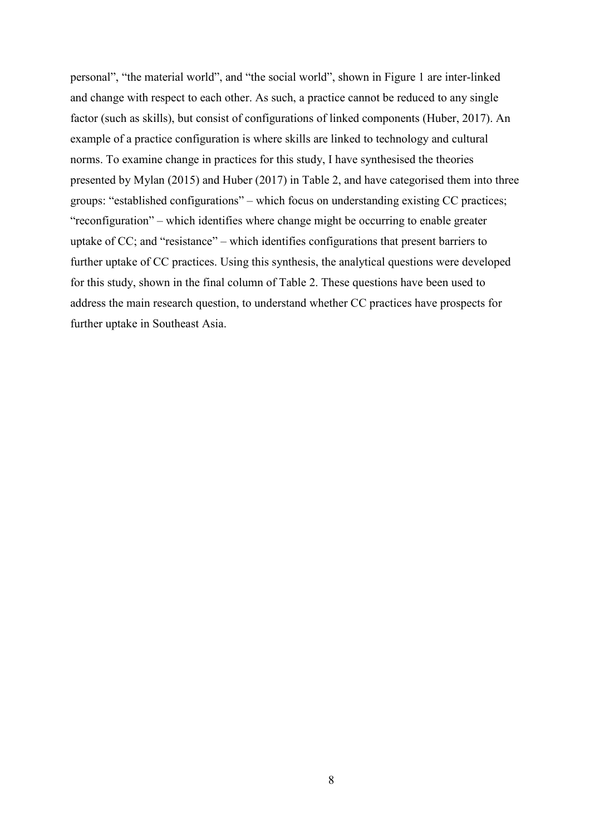personal", "the material world", and "the social world", shown in Figure 1 are inter-linked and change with respect to each other. As such, a practice cannot be reduced to any single factor (such as skills), but consist of configurations of linked components (Huber, 2017). An example of a practice configuration is where skills are linked to technology and cultural norms. To examine change in practices for this study, I have synthesised the theories presented by Mylan (2015) and Huber (2017) in Table 2, and have categorised them into three groups: "established configurations" – which focus on understanding existing CC practices; "reconfiguration" – which identifies where change might be occurring to enable greater uptake of CC; and "resistance" – which identifies configurations that present barriers to further uptake of CC practices. Using this synthesis, the analytical questions were developed for this study, shown in the final column of Table 2. These questions have been used to address the main research question, to understand whether CC practices have prospects for further uptake in Southeast Asia.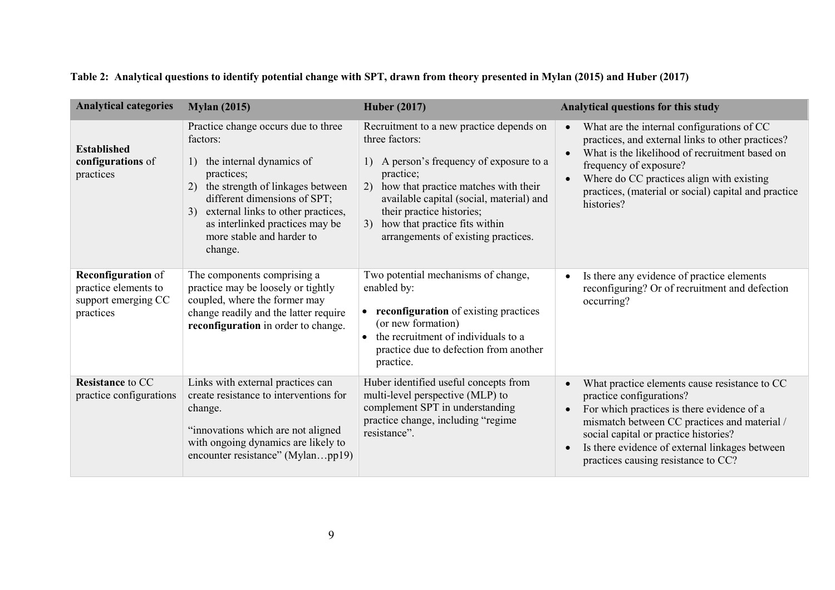| <b>Analytical categories</b>                                                          | <b>Mylan (2015)</b>                                                                                                                                                                                                                                                                              | <b>Huber (2017)</b>                                                                                                                                                                                                                                                                                                      | Analytical questions for this study                                                                                                                                                                                                                                                                                                   |
|---------------------------------------------------------------------------------------|--------------------------------------------------------------------------------------------------------------------------------------------------------------------------------------------------------------------------------------------------------------------------------------------------|--------------------------------------------------------------------------------------------------------------------------------------------------------------------------------------------------------------------------------------------------------------------------------------------------------------------------|---------------------------------------------------------------------------------------------------------------------------------------------------------------------------------------------------------------------------------------------------------------------------------------------------------------------------------------|
| <b>Established</b><br>configurations of<br>practices                                  | Practice change occurs due to three<br>factors:<br>the internal dynamics of<br>1)<br>practices;<br>the strength of linkages between<br>2)<br>different dimensions of SPT;<br>external links to other practices,<br>3)<br>as interlinked practices may be<br>more stable and harder to<br>change. | Recruitment to a new practice depends on<br>three factors:<br>1) A person's frequency of exposure to a<br>practice;<br>how that practice matches with their<br>2)<br>available capital (social, material) and<br>their practice histories;<br>how that practice fits within<br>3)<br>arrangements of existing practices. | What are the internal configurations of CC<br>$\bullet$<br>practices, and external links to other practices?<br>What is the likelihood of recruitment based on<br>$\bullet$<br>frequency of exposure?<br>Where do CC practices align with existing<br>$\bullet$<br>practices, (material or social) capital and practice<br>histories? |
| <b>Reconfiguration of</b><br>practice elements to<br>support emerging CC<br>practices | The components comprising a<br>practice may be loosely or tightly<br>coupled, where the former may<br>change readily and the latter require<br>reconfiguration in order to change.                                                                                                               | Two potential mechanisms of change,<br>enabled by:<br>reconfiguration of existing practices<br>(or new formation)<br>the recruitment of individuals to a<br>practice due to defection from another<br>practice.                                                                                                          | Is there any evidence of practice elements<br>reconfiguring? Or of recruitment and defection<br>occurring?                                                                                                                                                                                                                            |
| <b>Resistance to CC</b><br>practice configurations                                    | Links with external practices can<br>create resistance to interventions for<br>change.<br>"innovations which are not aligned<br>with ongoing dynamics are likely to<br>encounter resistance" (Mylanpp19)                                                                                         | Huber identified useful concepts from<br>multi-level perspective (MLP) to<br>complement SPT in understanding<br>practice change, including "regime<br>resistance".                                                                                                                                                       | What practice elements cause resistance to CC<br>practice configurations?<br>For which practices is there evidence of a<br>$\bullet$<br>mismatch between CC practices and material /<br>social capital or practice histories?<br>Is there evidence of external linkages between<br>$\bullet$<br>practices causing resistance to CC?   |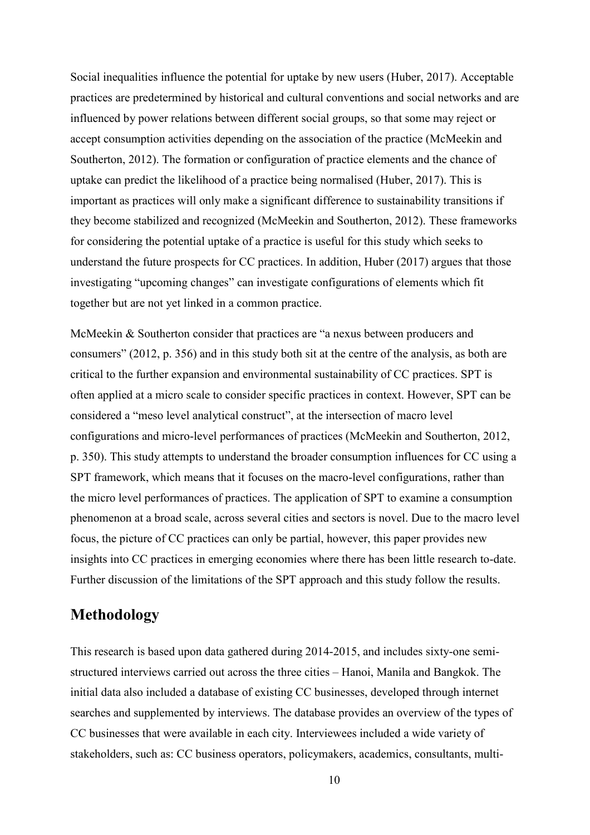Social inequalities influence the potential for uptake by new users (Huber, 2017). Acceptable practices are predetermined by historical and cultural conventions and social networks and are influenced by power relations between different social groups, so that some may reject or accept consumption activities depending on the association of the practice (McMeekin and Southerton, 2012). The formation or configuration of practice elements and the chance of uptake can predict the likelihood of a practice being normalised (Huber, 2017). This is important as practices will only make a significant difference to sustainability transitions if they become stabilized and recognized (McMeekin and Southerton, 2012). These frameworks for considering the potential uptake of a practice is useful for this study which seeks to understand the future prospects for CC practices. In addition, Huber (2017) argues that those investigating "upcoming changes" can investigate configurations of elements which fit together but are not yet linked in a common practice.

McMeekin & Southerton consider that practices are "a nexus between producers and consumers" (2012, p. 356) and in this study both sit at the centre of the analysis, as both are critical to the further expansion and environmental sustainability of CC practices. SPT is often applied at a micro scale to consider specific practices in context. However, SPT can be considered a "meso level analytical construct", at the intersection of macro level configurations and micro-level performances of practices (McMeekin and Southerton, 2012, p. 350). This study attempts to understand the broader consumption influences for CC using a SPT framework, which means that it focuses on the macro-level configurations, rather than the micro level performances of practices. The application of SPT to examine a consumption phenomenon at a broad scale, across several cities and sectors is novel. Due to the macro level focus, the picture of CC practices can only be partial, however, this paper provides new insights into CC practices in emerging economies where there has been little research to-date. Further discussion of the limitations of the SPT approach and this study follow the results.

# **Methodology**

This research is based upon data gathered during 2014-2015, and includes sixty-one semistructured interviews carried out across the three cities – Hanoi, Manila and Bangkok. The initial data also included a database of existing CC businesses, developed through internet searches and supplemented by interviews. The database provides an overview of the types of CC businesses that were available in each city. Interviewees included a wide variety of stakeholders, such as: CC business operators, policymakers, academics, consultants, multi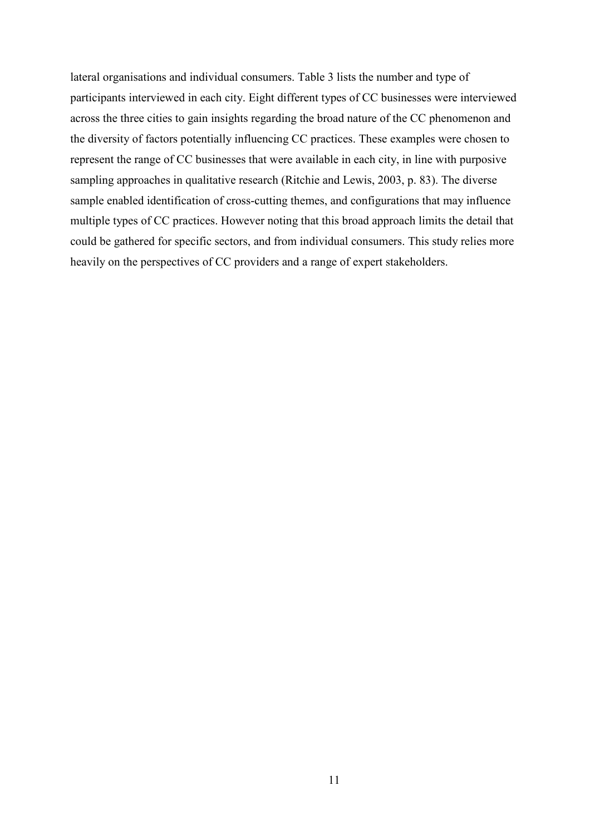lateral organisations and individual consumers. [Table 3](#page-12-0) lists the number and type of participants interviewed in each city. Eight different types of CC businesses were interviewed across the three cities to gain insights regarding the broad nature of the CC phenomenon and the diversity of factors potentially influencing CC practices. These examples were chosen to represent the range of CC businesses that were available in each city, in line with purposive sampling approaches in qualitative research (Ritchie and Lewis, 2003, p. 83). The diverse sample enabled identification of cross-cutting themes, and configurations that may influence multiple types of CC practices. However noting that this broad approach limits the detail that could be gathered for specific sectors, and from individual consumers. This study relies more heavily on the perspectives of CC providers and a range of expert stakeholders.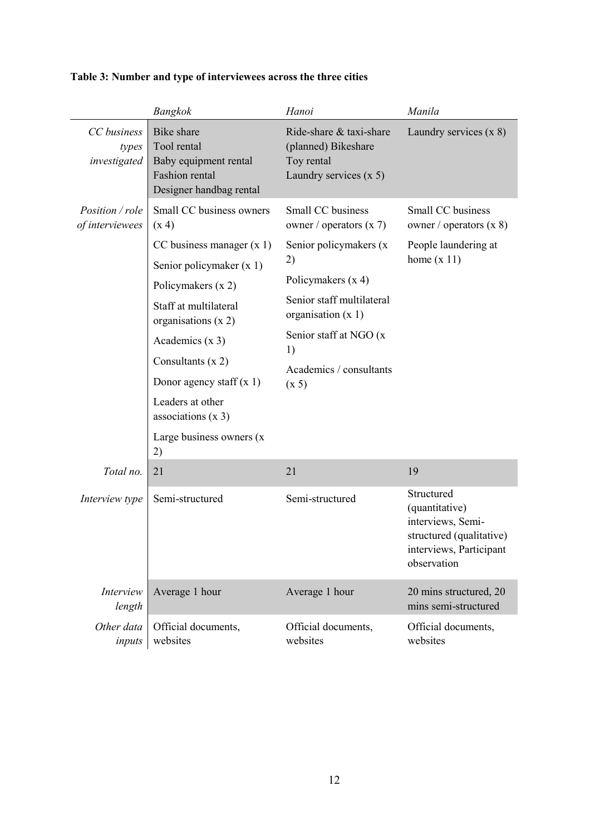|                                      | Bangkok                                                                                                                                                                                                                                                                                                                          | Hanoi                                                                                                                                                                                                                           | Manila                                                                                                                  |
|--------------------------------------|----------------------------------------------------------------------------------------------------------------------------------------------------------------------------------------------------------------------------------------------------------------------------------------------------------------------------------|---------------------------------------------------------------------------------------------------------------------------------------------------------------------------------------------------------------------------------|-------------------------------------------------------------------------------------------------------------------------|
| CC business<br>types<br>investigated | <b>Bike</b> share<br>Tool rental<br>Baby equipment rental<br><b>Fashion</b> rental<br>Designer handbag rental                                                                                                                                                                                                                    | Ride-share & taxi-share<br>(planned) Bikeshare<br>Toy rental<br>Laundry services $(x 5)$                                                                                                                                        | Laundry services $(x 8)$                                                                                                |
| Position / role<br>of interviewees   | Small CC business owners<br>(x 4)<br>CC business manager $(x 1)$<br>Senior policymaker $(x 1)$<br>Policymakers $(x 2)$<br>Staff at multilateral<br>organisations $(x 2)$<br>Academics $(x 3)$<br>Consultants $(x 2)$<br>Donor agency staff $(x 1)$<br>Leaders at other<br>associations $(x 3)$<br>Large business owners (x<br>2) | Small CC business<br>owner / operators $(x 7)$<br>Senior policymakers (x<br>2)<br>Policymakers $(x 4)$<br>Senior staff multilateral<br>organisation $(x 1)$<br>Senior staff at NGO (x<br>1)<br>Academics / consultants<br>(x 5) | Small CC business<br>owner / operators $(x 8)$<br>People laundering at<br>home $(x 11)$                                 |
| Total no.                            | 21                                                                                                                                                                                                                                                                                                                               | 21                                                                                                                                                                                                                              | 19                                                                                                                      |
| Interview type                       | Semi-structured                                                                                                                                                                                                                                                                                                                  | Semi-structured                                                                                                                                                                                                                 | Structured<br>(quantitative)<br>interviews, Semi-<br>structured (qualitative)<br>interviews, Participant<br>observation |
| Interview<br>length                  | Average 1 hour                                                                                                                                                                                                                                                                                                                   | Average 1 hour                                                                                                                                                                                                                  | 20 mins structured, 20<br>mins semi-structured                                                                          |
| Other data<br>inputs                 | Official documents,<br>websites                                                                                                                                                                                                                                                                                                  | Official documents,<br>websites                                                                                                                                                                                                 | Official documents,<br>websites                                                                                         |

# <span id="page-12-0"></span>**Table 3: Number and type of interviewees across the three cities**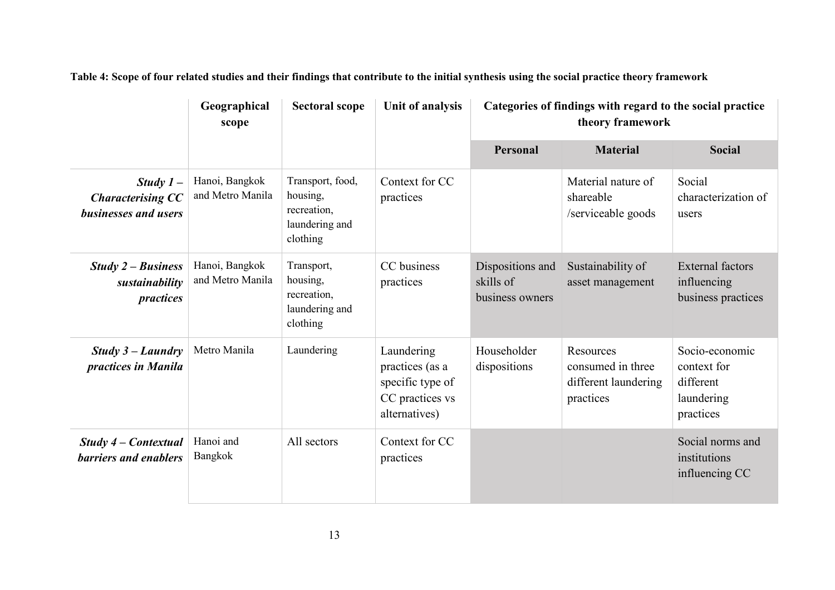**Table 4: Scope of four related studies and their findings that contribute to the initial synthesis using the social practice theory framework**

|                                                                | Geographical<br>scope              | <b>Sectoral scope</b>                                                     | Unit of analysis                                                                      | Categories of findings with regard to the social practice<br>theory framework |                                                                     |                                                                       |
|----------------------------------------------------------------|------------------------------------|---------------------------------------------------------------------------|---------------------------------------------------------------------------------------|-------------------------------------------------------------------------------|---------------------------------------------------------------------|-----------------------------------------------------------------------|
|                                                                |                                    |                                                                           |                                                                                       | <b>Personal</b>                                                               | <b>Material</b>                                                     | <b>Social</b>                                                         |
| Study $1-$<br><b>Characterising CC</b><br>businesses and users | Hanoi, Bangkok<br>and Metro Manila | Transport, food,<br>housing,<br>recreation,<br>laundering and<br>clothing | Context for CC<br>practices                                                           |                                                                               | Material nature of<br>shareable<br>/serviceable goods               | Social<br>characterization of<br>users                                |
| $Study 2-Business$<br>sustainability<br>practices              | Hanoi, Bangkok<br>and Metro Manila | Transport,<br>housing,<br>recreation,<br>laundering and<br>clothing       | CC business<br>practices                                                              | Dispositions and<br>skills of<br>business owners                              | Sustainability of<br>asset management                               | <b>External factors</b><br>influencing<br>business practices          |
| $Study 3-Laundry$<br><i>practices in Manila</i>                | Metro Manila                       | Laundering                                                                | Laundering<br>practices (as a<br>specific type of<br>CC practices vs<br>alternatives) | Householder<br>dispositions                                                   | Resources<br>consumed in three<br>different laundering<br>practices | Socio-economic<br>context for<br>different<br>laundering<br>practices |
| Study 4 – Contextual<br>barriers and enablers                  | Hanoi and<br>Bangkok               | All sectors                                                               | Context for CC<br>practices                                                           |                                                                               |                                                                     | Social norms and<br>institutions<br>influencing CC                    |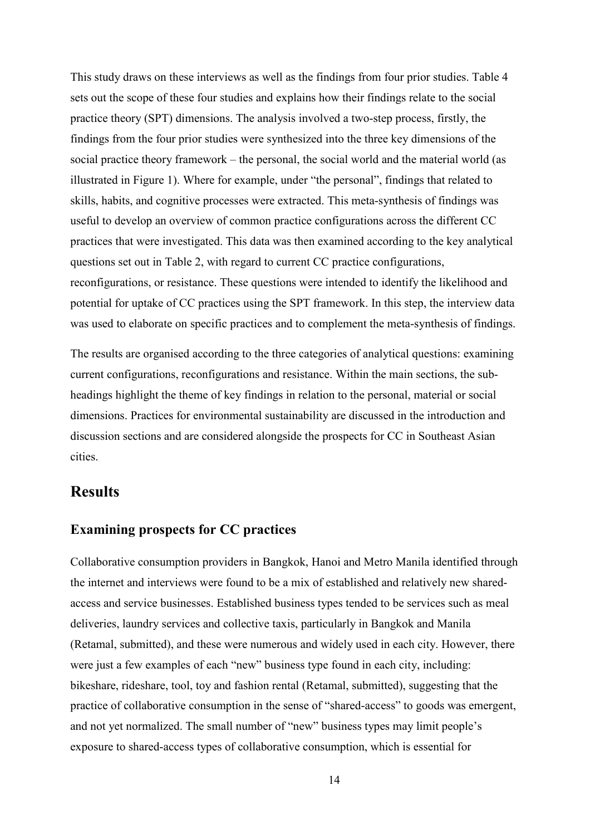This study draws on these interviews as well as the findings from four prior studies. Table 4 sets out the scope of these four studies and explains how their findings relate to the social practice theory (SPT) dimensions. The analysis involved a two-step process, firstly, the findings from the four prior studies were synthesized into the three key dimensions of the social practice theory framework – the personal, the social world and the material world (as illustrated in Figure 1). Where for example, under "the personal", findings that related to skills, habits, and cognitive processes were extracted. This meta-synthesis of findings was useful to develop an overview of common practice configurations across the different CC practices that were investigated. This data was then examined according to the key analytical questions set out in Table 2, with regard to current CC practice configurations, reconfigurations, or resistance. These questions were intended to identify the likelihood and potential for uptake of CC practices using the SPT framework. In this step, the interview data was used to elaborate on specific practices and to complement the meta-synthesis of findings.

The results are organised according to the three categories of analytical questions: examining current configurations, reconfigurations and resistance. Within the main sections, the subheadings highlight the theme of key findings in relation to the personal, material or social dimensions. Practices for environmental sustainability are discussed in the introduction and discussion sections and are considered alongside the prospects for CC in Southeast Asian cities.

# **Results**

### **Examining prospects for CC practices**

Collaborative consumption providers in Bangkok, Hanoi and Metro Manila identified through the internet and interviews were found to be a mix of established and relatively new sharedaccess and service businesses. Established business types tended to be services such as meal deliveries, laundry services and collective taxis, particularly in Bangkok and Manila (Retamal, submitted), and these were numerous and widely used in each city. However, there were just a few examples of each "new" business type found in each city, including: bikeshare, rideshare, tool, toy and fashion rental (Retamal, submitted), suggesting that the practice of collaborative consumption in the sense of "shared-access" to goods was emergent, and not yet normalized. The small number of "new" business types may limit people's exposure to shared-access types of collaborative consumption, which is essential for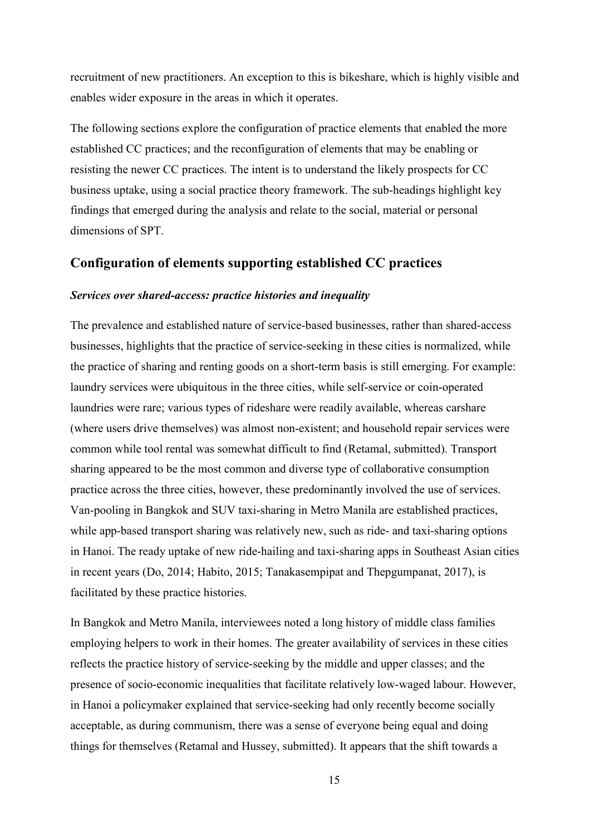recruitment of new practitioners. An exception to this is bikeshare, which is highly visible and enables wider exposure in the areas in which it operates.

The following sections explore the configuration of practice elements that enabled the more established CC practices; and the reconfiguration of elements that may be enabling or resisting the newer CC practices. The intent is to understand the likely prospects for CC business uptake, using a social practice theory framework. The sub-headings highlight key findings that emerged during the analysis and relate to the social, material or personal dimensions of SPT.

### **Configuration of elements supporting established CC practices**

#### *Services over shared-access: practice histories and inequality*

The prevalence and established nature of service-based businesses, rather than shared-access businesses, highlights that the practice of service-seeking in these cities is normalized, while the practice of sharing and renting goods on a short-term basis is still emerging. For example: laundry services were ubiquitous in the three cities, while self-service or coin-operated laundries were rare; various types of rideshare were readily available, whereas carshare (where users drive themselves) was almost non-existent; and household repair services were common while tool rental was somewhat difficult to find (Retamal, submitted). Transport sharing appeared to be the most common and diverse type of collaborative consumption practice across the three cities, however, these predominantly involved the use of services. Van-pooling in Bangkok and SUV taxi-sharing in Metro Manila are established practices, while app-based transport sharing was relatively new, such as ride- and taxi-sharing options in Hanoi. The ready uptake of new ride-hailing and taxi-sharing apps in Southeast Asian cities in recent years (Do, 2014; Habito, 2015; Tanakasempipat and Thepgumpanat, 2017), is facilitated by these practice histories.

In Bangkok and Metro Manila, interviewees noted a long history of middle class families employing helpers to work in their homes. The greater availability of services in these cities reflects the practice history of service-seeking by the middle and upper classes; and the presence of socio-economic inequalities that facilitate relatively low-waged labour. However, in Hanoi a policymaker explained that service-seeking had only recently become socially acceptable, as during communism, there was a sense of everyone being equal and doing things for themselves (Retamal and Hussey, submitted). It appears that the shift towards a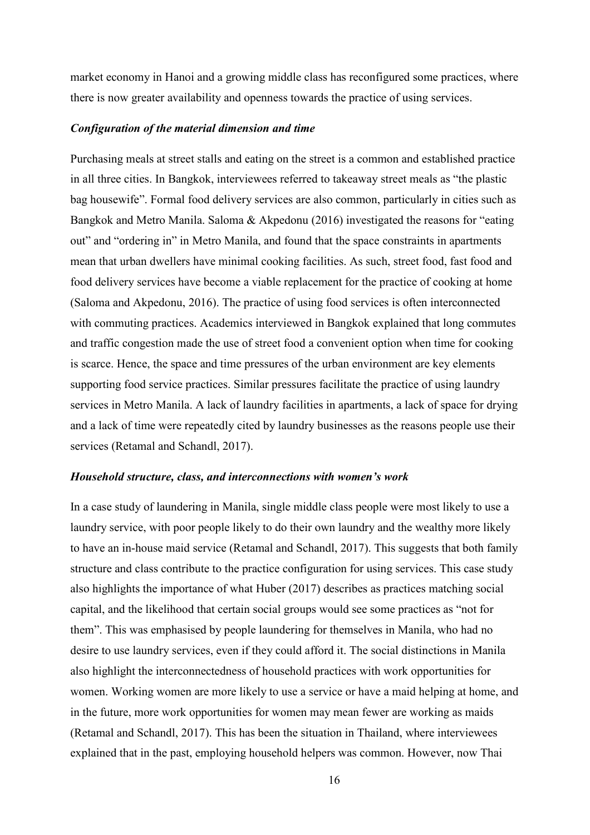market economy in Hanoi and a growing middle class has reconfigured some practices, where there is now greater availability and openness towards the practice of using services.

#### *Configuration of the material dimension and time*

Purchasing meals at street stalls and eating on the street is a common and established practice in all three cities. In Bangkok, interviewees referred to takeaway street meals as "the plastic bag housewife". Formal food delivery services are also common, particularly in cities such as Bangkok and Metro Manila. Saloma & Akpedonu (2016) investigated the reasons for "eating out" and "ordering in" in Metro Manila, and found that the space constraints in apartments mean that urban dwellers have minimal cooking facilities. As such, street food, fast food and food delivery services have become a viable replacement for the practice of cooking at home (Saloma and Akpedonu, 2016). The practice of using food services is often interconnected with commuting practices. Academics interviewed in Bangkok explained that long commutes and traffic congestion made the use of street food a convenient option when time for cooking is scarce. Hence, the space and time pressures of the urban environment are key elements supporting food service practices. Similar pressures facilitate the practice of using laundry services in Metro Manila. A lack of laundry facilities in apartments, a lack of space for drying and a lack of time were repeatedly cited by laundry businesses as the reasons people use their services (Retamal and Schandl, 2017).

#### *Household structure, class, and interconnections with women's work*

In a case study of laundering in Manila, single middle class people were most likely to use a laundry service, with poor people likely to do their own laundry and the wealthy more likely to have an in-house maid service (Retamal and Schandl, 2017). This suggests that both family structure and class contribute to the practice configuration for using services. This case study also highlights the importance of what Huber (2017) describes as practices matching social capital, and the likelihood that certain social groups would see some practices as "not for them". This was emphasised by people laundering for themselves in Manila, who had no desire to use laundry services, even if they could afford it. The social distinctions in Manila also highlight the interconnectedness of household practices with work opportunities for women. Working women are more likely to use a service or have a maid helping at home, and in the future, more work opportunities for women may mean fewer are working as maids (Retamal and Schandl, 2017). This has been the situation in Thailand, where interviewees explained that in the past, employing household helpers was common. However, now Thai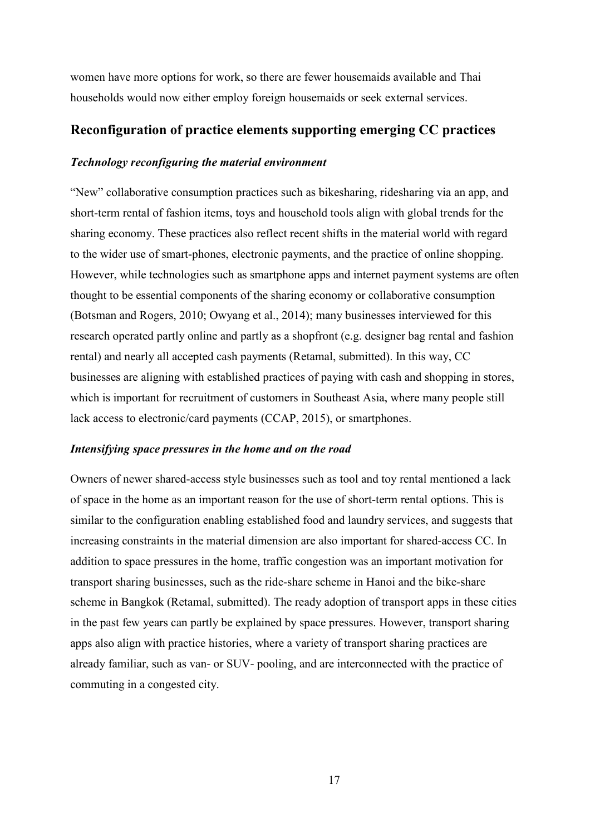women have more options for work, so there are fewer housemaids available and Thai households would now either employ foreign housemaids or seek external services.

### **Reconfiguration of practice elements supporting emerging CC practices**

### *Technology reconfiguring the material environment*

"New" collaborative consumption practices such as bikesharing, ridesharing via an app, and short-term rental of fashion items, toys and household tools align with global trends for the sharing economy. These practices also reflect recent shifts in the material world with regard to the wider use of smart-phones, electronic payments, and the practice of online shopping. However, while technologies such as smartphone apps and internet payment systems are often thought to be essential components of the sharing economy or collaborative consumption (Botsman and Rogers, 2010; Owyang et al., 2014); many businesses interviewed for this research operated partly online and partly as a shopfront (e.g. designer bag rental and fashion rental) and nearly all accepted cash payments (Retamal, submitted). In this way, CC businesses are aligning with established practices of paying with cash and shopping in stores, which is important for recruitment of customers in Southeast Asia, where many people still lack access to electronic/card payments (CCAP, 2015), or smartphones.

### *Intensifying space pressures in the home and on the road*

Owners of newer shared-access style businesses such as tool and toy rental mentioned a lack of space in the home as an important reason for the use of short-term rental options. This is similar to the configuration enabling established food and laundry services, and suggests that increasing constraints in the material dimension are also important for shared-access CC. In addition to space pressures in the home, traffic congestion was an important motivation for transport sharing businesses, such as the ride-share scheme in Hanoi and the bike-share scheme in Bangkok (Retamal, submitted). The ready adoption of transport apps in these cities in the past few years can partly be explained by space pressures. However, transport sharing apps also align with practice histories, where a variety of transport sharing practices are already familiar, such as van- or SUV- pooling, and are interconnected with the practice of commuting in a congested city.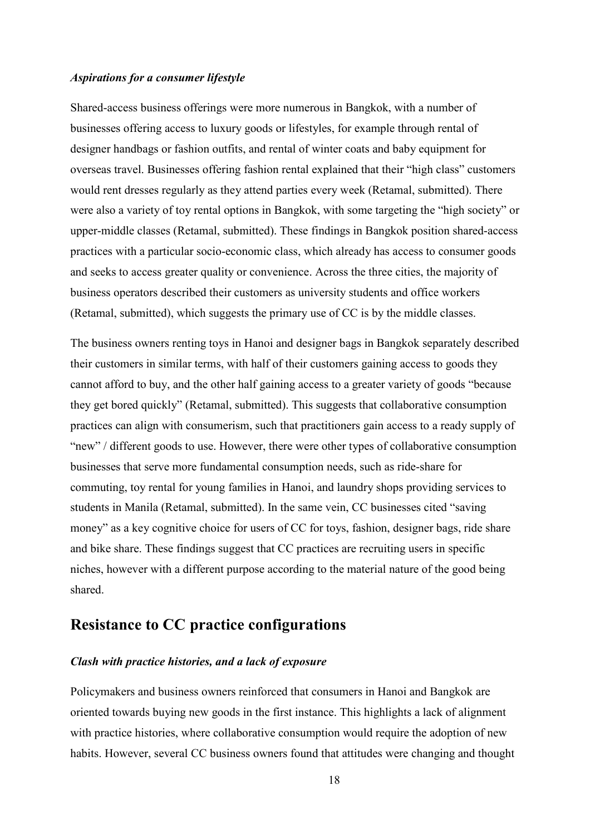#### *Aspirations for a consumer lifestyle*

Shared-access business offerings were more numerous in Bangkok, with a number of businesses offering access to luxury goods or lifestyles, for example through rental of designer handbags or fashion outfits, and rental of winter coats and baby equipment for overseas travel. Businesses offering fashion rental explained that their "high class" customers would rent dresses regularly as they attend parties every week (Retamal, submitted). There were also a variety of toy rental options in Bangkok, with some targeting the "high society" or upper-middle classes (Retamal, submitted). These findings in Bangkok position shared-access practices with a particular socio-economic class, which already has access to consumer goods and seeks to access greater quality or convenience. Across the three cities, the majority of business operators described their customers as university students and office workers (Retamal, submitted), which suggests the primary use of CC is by the middle classes.

The business owners renting toys in Hanoi and designer bags in Bangkok separately described their customers in similar terms, with half of their customers gaining access to goods they cannot afford to buy, and the other half gaining access to a greater variety of goods "because they get bored quickly" (Retamal, submitted). This suggests that collaborative consumption practices can align with consumerism, such that practitioners gain access to a ready supply of "new" / different goods to use. However, there were other types of collaborative consumption businesses that serve more fundamental consumption needs, such as ride-share for commuting, toy rental for young families in Hanoi, and laundry shops providing services to students in Manila (Retamal, submitted). In the same vein, CC businesses cited "saving money" as a key cognitive choice for users of CC for toys, fashion, designer bags, ride share and bike share. These findings suggest that CC practices are recruiting users in specific niches, however with a different purpose according to the material nature of the good being shared.

# **Resistance to CC practice configurations**

#### *Clash with practice histories, and a lack of exposure*

Policymakers and business owners reinforced that consumers in Hanoi and Bangkok are oriented towards buying new goods in the first instance. This highlights a lack of alignment with practice histories, where collaborative consumption would require the adoption of new habits. However, several CC business owners found that attitudes were changing and thought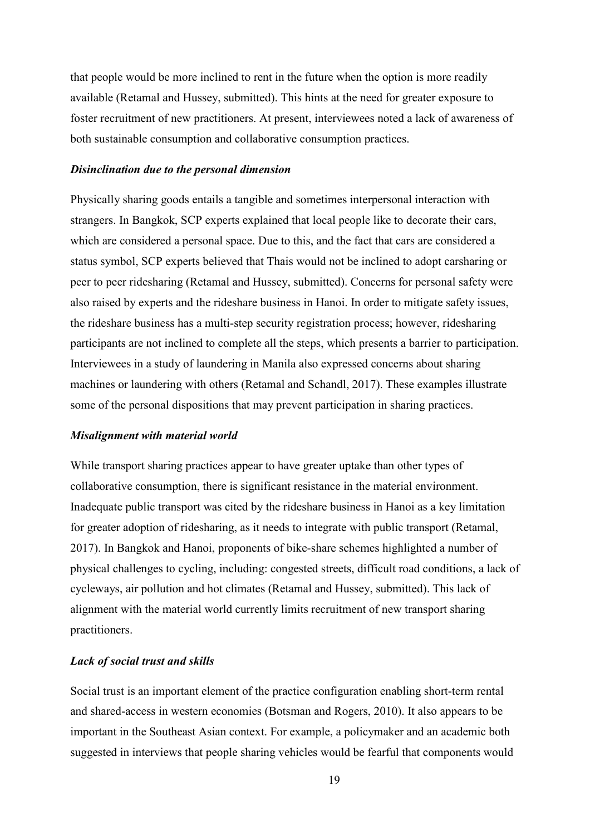that people would be more inclined to rent in the future when the option is more readily available (Retamal and Hussey, submitted). This hints at the need for greater exposure to foster recruitment of new practitioners. At present, interviewees noted a lack of awareness of both sustainable consumption and collaborative consumption practices.

#### *Disinclination due to the personal dimension*

Physically sharing goods entails a tangible and sometimes interpersonal interaction with strangers. In Bangkok, SCP experts explained that local people like to decorate their cars, which are considered a personal space. Due to this, and the fact that cars are considered a status symbol, SCP experts believed that Thais would not be inclined to adopt carsharing or peer to peer ridesharing (Retamal and Hussey, submitted). Concerns for personal safety were also raised by experts and the rideshare business in Hanoi. In order to mitigate safety issues, the rideshare business has a multi-step security registration process; however, ridesharing participants are not inclined to complete all the steps, which presents a barrier to participation. Interviewees in a study of laundering in Manila also expressed concerns about sharing machines or laundering with others (Retamal and Schandl, 2017). These examples illustrate some of the personal dispositions that may prevent participation in sharing practices.

#### *Misalignment with material world*

While transport sharing practices appear to have greater uptake than other types of collaborative consumption, there is significant resistance in the material environment. Inadequate public transport was cited by the rideshare business in Hanoi as a key limitation for greater adoption of ridesharing, as it needs to integrate with public transport (Retamal, 2017). In Bangkok and Hanoi, proponents of bike-share schemes highlighted a number of physical challenges to cycling, including: congested streets, difficult road conditions, a lack of cycleways, air pollution and hot climates (Retamal and Hussey, submitted). This lack of alignment with the material world currently limits recruitment of new transport sharing practitioners.

#### *Lack of social trust and skills*

Social trust is an important element of the practice configuration enabling short-term rental and shared-access in western economies (Botsman and Rogers, 2010). It also appears to be important in the Southeast Asian context. For example, a policymaker and an academic both suggested in interviews that people sharing vehicles would be fearful that components would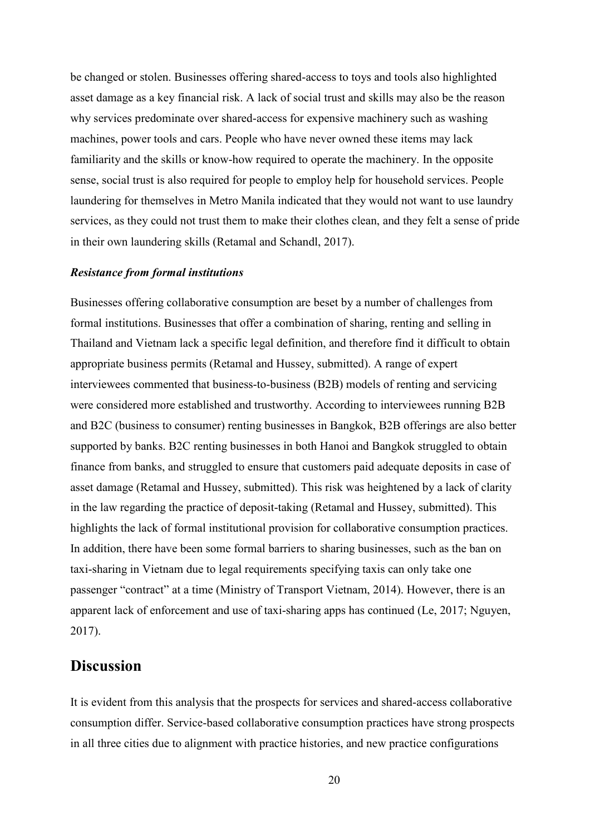be changed or stolen. Businesses offering shared-access to toys and tools also highlighted asset damage as a key financial risk. A lack of social trust and skills may also be the reason why services predominate over shared-access for expensive machinery such as washing machines, power tools and cars. People who have never owned these items may lack familiarity and the skills or know-how required to operate the machinery. In the opposite sense, social trust is also required for people to employ help for household services. People laundering for themselves in Metro Manila indicated that they would not want to use laundry services, as they could not trust them to make their clothes clean, and they felt a sense of pride in their own laundering skills (Retamal and Schandl, 2017).

#### *Resistance from formal institutions*

Businesses offering collaborative consumption are beset by a number of challenges from formal institutions. Businesses that offer a combination of sharing, renting and selling in Thailand and Vietnam lack a specific legal definition, and therefore find it difficult to obtain appropriate business permits (Retamal and Hussey, submitted). A range of expert interviewees commented that business-to-business (B2B) models of renting and servicing were considered more established and trustworthy. According to interviewees running B2B and B2C (business to consumer) renting businesses in Bangkok, B2B offerings are also better supported by banks. B2C renting businesses in both Hanoi and Bangkok struggled to obtain finance from banks, and struggled to ensure that customers paid adequate deposits in case of asset damage (Retamal and Hussey, submitted). This risk was heightened by a lack of clarity in the law regarding the practice of deposit-taking (Retamal and Hussey, submitted). This highlights the lack of formal institutional provision for collaborative consumption practices. In addition, there have been some formal barriers to sharing businesses, such as the ban on taxi-sharing in Vietnam due to legal requirements specifying taxis can only take one passenger "contract" at a time (Ministry of Transport Vietnam, 2014). However, there is an apparent lack of enforcement and use of taxi-sharing apps has continued (Le, 2017; Nguyen, 2017).

### **Discussion**

It is evident from this analysis that the prospects for services and shared-access collaborative consumption differ. Service-based collaborative consumption practices have strong prospects in all three cities due to alignment with practice histories, and new practice configurations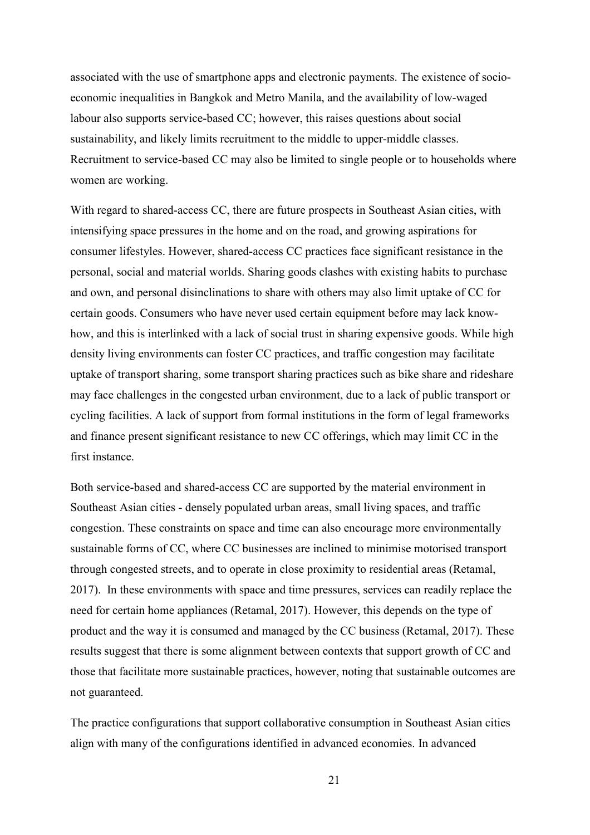associated with the use of smartphone apps and electronic payments. The existence of socioeconomic inequalities in Bangkok and Metro Manila, and the availability of low-waged labour also supports service-based CC; however, this raises questions about social sustainability, and likely limits recruitment to the middle to upper-middle classes. Recruitment to service-based CC may also be limited to single people or to households where women are working.

With regard to shared-access CC, there are future prospects in Southeast Asian cities, with intensifying space pressures in the home and on the road, and growing aspirations for consumer lifestyles. However, shared-access CC practices face significant resistance in the personal, social and material worlds. Sharing goods clashes with existing habits to purchase and own, and personal disinclinations to share with others may also limit uptake of CC for certain goods. Consumers who have never used certain equipment before may lack knowhow, and this is interlinked with a lack of social trust in sharing expensive goods. While high density living environments can foster CC practices, and traffic congestion may facilitate uptake of transport sharing, some transport sharing practices such as bike share and rideshare may face challenges in the congested urban environment, due to a lack of public transport or cycling facilities. A lack of support from formal institutions in the form of legal frameworks and finance present significant resistance to new CC offerings, which may limit CC in the first instance.

Both service-based and shared-access CC are supported by the material environment in Southeast Asian cities - densely populated urban areas, small living spaces, and traffic congestion. These constraints on space and time can also encourage more environmentally sustainable forms of CC, where CC businesses are inclined to minimise motorised transport through congested streets, and to operate in close proximity to residential areas (Retamal, 2017). In these environments with space and time pressures, services can readily replace the need for certain home appliances (Retamal, 2017). However, this depends on the type of product and the way it is consumed and managed by the CC business (Retamal, 2017). These results suggest that there is some alignment between contexts that support growth of CC and those that facilitate more sustainable practices, however, noting that sustainable outcomes are not guaranteed.

The practice configurations that support collaborative consumption in Southeast Asian cities align with many of the configurations identified in advanced economies. In advanced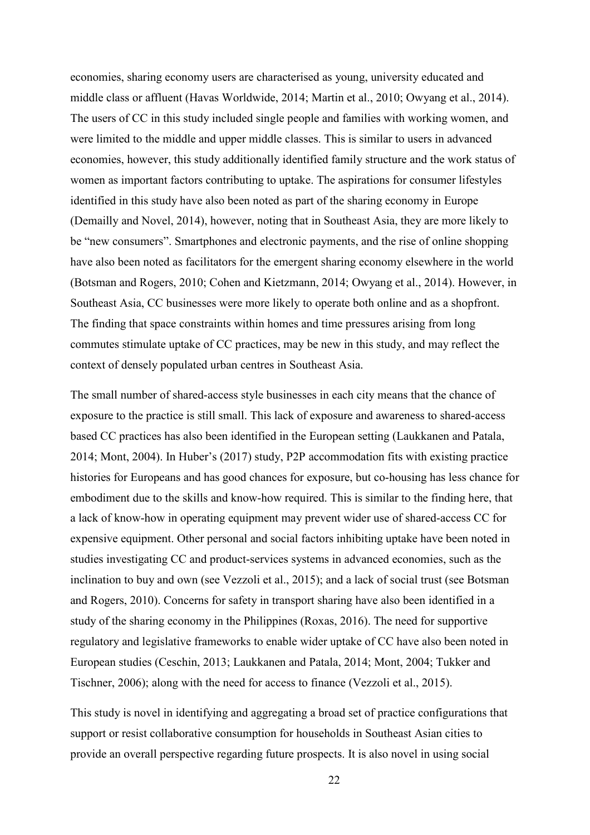economies, sharing economy users are characterised as young, university educated and middle class or affluent (Havas Worldwide, 2014; Martin et al., 2010; Owyang et al., 2014). The users of CC in this study included single people and families with working women, and were limited to the middle and upper middle classes. This is similar to users in advanced economies, however, this study additionally identified family structure and the work status of women as important factors contributing to uptake. The aspirations for consumer lifestyles identified in this study have also been noted as part of the sharing economy in Europe (Demailly and Novel, 2014), however, noting that in Southeast Asia, they are more likely to be "new consumers". Smartphones and electronic payments, and the rise of online shopping have also been noted as facilitators for the emergent sharing economy elsewhere in the world (Botsman and Rogers, 2010; Cohen and Kietzmann, 2014; Owyang et al., 2014). However, in Southeast Asia, CC businesses were more likely to operate both online and as a shopfront. The finding that space constraints within homes and time pressures arising from long commutes stimulate uptake of CC practices, may be new in this study, and may reflect the context of densely populated urban centres in Southeast Asia.

The small number of shared-access style businesses in each city means that the chance of exposure to the practice is still small. This lack of exposure and awareness to shared-access based CC practices has also been identified in the European setting (Laukkanen and Patala, 2014; Mont, 2004). In Huber's (2017) study, P2P accommodation fits with existing practice histories for Europeans and has good chances for exposure, but co-housing has less chance for embodiment due to the skills and know-how required. This is similar to the finding here, that a lack of know-how in operating equipment may prevent wider use of shared-access CC for expensive equipment. Other personal and social factors inhibiting uptake have been noted in studies investigating CC and product-services systems in advanced economies, such as the inclination to buy and own (see Vezzoli et al., 2015); and a lack of social trust (see Botsman and Rogers, 2010). Concerns for safety in transport sharing have also been identified in a study of the sharing economy in the Philippines (Roxas, 2016). The need for supportive regulatory and legislative frameworks to enable wider uptake of CC have also been noted in European studies (Ceschin, 2013; Laukkanen and Patala, 2014; Mont, 2004; Tukker and Tischner, 2006); along with the need for access to finance (Vezzoli et al., 2015).

This study is novel in identifying and aggregating a broad set of practice configurations that support or resist collaborative consumption for households in Southeast Asian cities to provide an overall perspective regarding future prospects. It is also novel in using social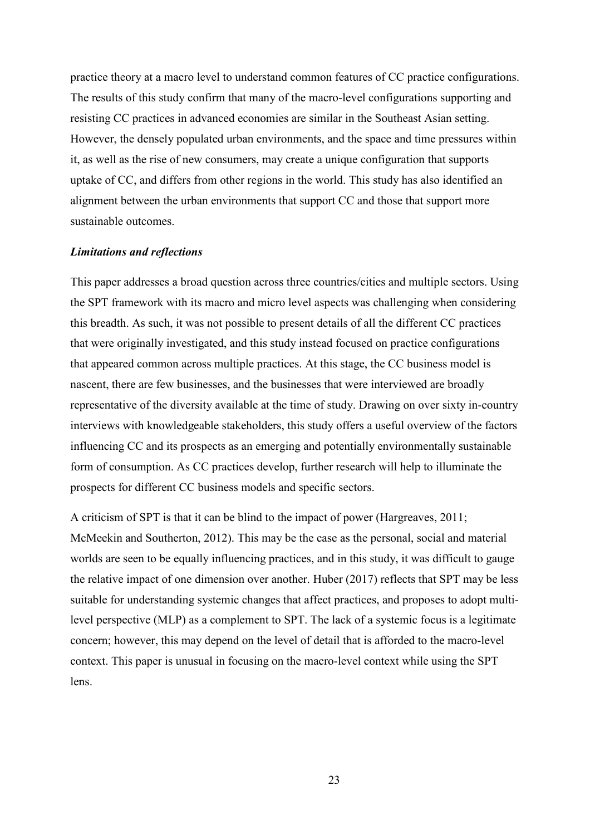practice theory at a macro level to understand common features of CC practice configurations. The results of this study confirm that many of the macro-level configurations supporting and resisting CC practices in advanced economies are similar in the Southeast Asian setting. However, the densely populated urban environments, and the space and time pressures within it, as well as the rise of new consumers, may create a unique configuration that supports uptake of CC, and differs from other regions in the world. This study has also identified an alignment between the urban environments that support CC and those that support more sustainable outcomes.

#### *Limitations and reflections*

This paper addresses a broad question across three countries/cities and multiple sectors. Using the SPT framework with its macro and micro level aspects was challenging when considering this breadth. As such, it was not possible to present details of all the different CC practices that were originally investigated, and this study instead focused on practice configurations that appeared common across multiple practices. At this stage, the CC business model is nascent, there are few businesses, and the businesses that were interviewed are broadly representative of the diversity available at the time of study. Drawing on over sixty in-country interviews with knowledgeable stakeholders, this study offers a useful overview of the factors influencing CC and its prospects as an emerging and potentially environmentally sustainable form of consumption. As CC practices develop, further research will help to illuminate the prospects for different CC business models and specific sectors.

A criticism of SPT is that it can be blind to the impact of power (Hargreaves, 2011; McMeekin and Southerton, 2012). This may be the case as the personal, social and material worlds are seen to be equally influencing practices, and in this study, it was difficult to gauge the relative impact of one dimension over another. Huber (2017) reflects that SPT may be less suitable for understanding systemic changes that affect practices, and proposes to adopt multilevel perspective (MLP) as a complement to SPT. The lack of a systemic focus is a legitimate concern; however, this may depend on the level of detail that is afforded to the macro-level context. This paper is unusual in focusing on the macro-level context while using the SPT lens.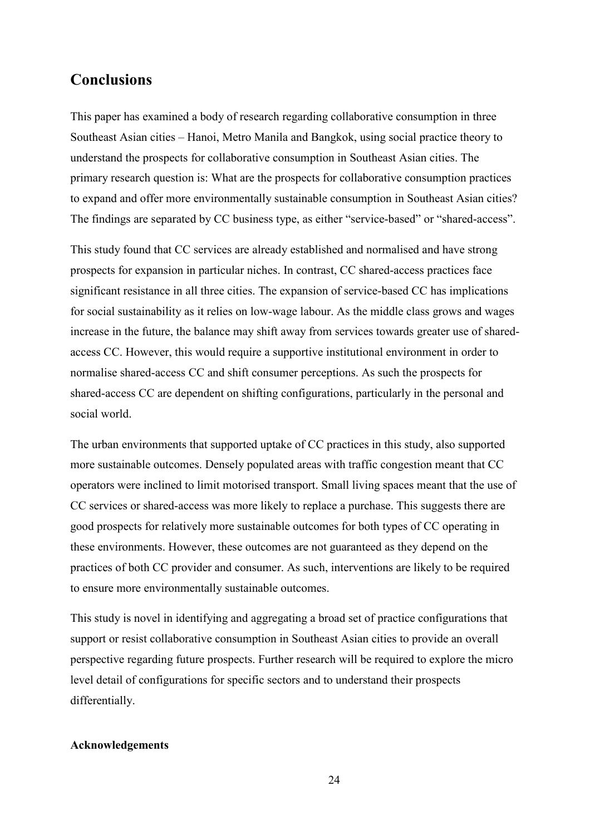### **Conclusions**

This paper has examined a body of research regarding collaborative consumption in three Southeast Asian cities – Hanoi, Metro Manila and Bangkok, using social practice theory to understand the prospects for collaborative consumption in Southeast Asian cities. The primary research question is: What are the prospects for collaborative consumption practices to expand and offer more environmentally sustainable consumption in Southeast Asian cities? The findings are separated by CC business type, as either "service-based" or "shared-access".

This study found that CC services are already established and normalised and have strong prospects for expansion in particular niches. In contrast, CC shared-access practices face significant resistance in all three cities. The expansion of service-based CC has implications for social sustainability as it relies on low-wage labour. As the middle class grows and wages increase in the future, the balance may shift away from services towards greater use of sharedaccess CC. However, this would require a supportive institutional environment in order to normalise shared-access CC and shift consumer perceptions. As such the prospects for shared-access CC are dependent on shifting configurations, particularly in the personal and social world.

The urban environments that supported uptake of CC practices in this study, also supported more sustainable outcomes. Densely populated areas with traffic congestion meant that CC operators were inclined to limit motorised transport. Small living spaces meant that the use of CC services or shared-access was more likely to replace a purchase. This suggests there are good prospects for relatively more sustainable outcomes for both types of CC operating in these environments. However, these outcomes are not guaranteed as they depend on the practices of both CC provider and consumer. As such, interventions are likely to be required to ensure more environmentally sustainable outcomes.

This study is novel in identifying and aggregating a broad set of practice configurations that support or resist collaborative consumption in Southeast Asian cities to provide an overall perspective regarding future prospects. Further research will be required to explore the micro level detail of configurations for specific sectors and to understand their prospects differentially.

### **Acknowledgements**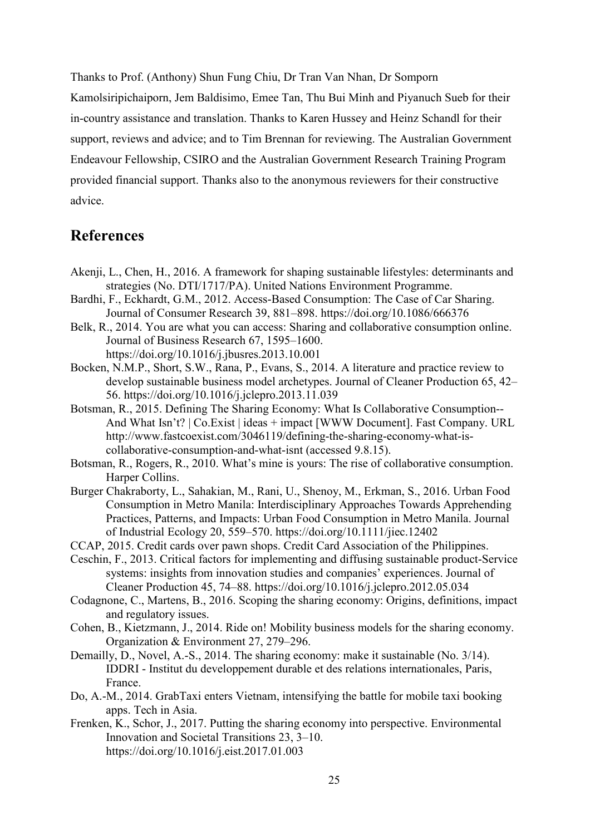Thanks to Prof. (Anthony) Shun Fung Chiu, Dr Tran Van Nhan, Dr Somporn

Kamolsiripichaiporn, Jem Baldisimo, Emee Tan, Thu Bui Minh and Piyanuch Sueb for their in-country assistance and translation. Thanks to Karen Hussey and Heinz Schandl for their support, reviews and advice; and to Tim Brennan for reviewing. The Australian Government Endeavour Fellowship, CSIRO and the Australian Government Research Training Program provided financial support. Thanks also to the anonymous reviewers for their constructive advice.

# **References**

- Akenji, L., Chen, H., 2016. A framework for shaping sustainable lifestyles: determinants and strategies (No. DTI/1717/PA). United Nations Environment Programme.
- Bardhi, F., Eckhardt, G.M., 2012. Access-Based Consumption: The Case of Car Sharing. Journal of Consumer Research 39, 881–898. https://doi.org/10.1086/666376
- Belk, R., 2014. You are what you can access: Sharing and collaborative consumption online. Journal of Business Research 67, 1595–1600. https://doi.org/10.1016/j.jbusres.2013.10.001
- Bocken, N.M.P., Short, S.W., Rana, P., Evans, S., 2014. A literature and practice review to develop sustainable business model archetypes. Journal of Cleaner Production 65, 42– 56. https://doi.org/10.1016/j.jclepro.2013.11.039
- Botsman, R., 2015. Defining The Sharing Economy: What Is Collaborative Consumption-- And What Isn't? | Co.Exist | ideas + impact [WWW Document]. Fast Company. URL http://www.fastcoexist.com/3046119/defining-the-sharing-economy-what-iscollaborative-consumption-and-what-isnt (accessed 9.8.15).
- Botsman, R., Rogers, R., 2010. What's mine is yours: The rise of collaborative consumption. Harper Collins.
- Burger Chakraborty, L., Sahakian, M., Rani, U., Shenoy, M., Erkman, S., 2016. Urban Food Consumption in Metro Manila: Interdisciplinary Approaches Towards Apprehending Practices, Patterns, and Impacts: Urban Food Consumption in Metro Manila. Journal of Industrial Ecology 20, 559–570. https://doi.org/10.1111/jiec.12402
- CCAP, 2015. Credit cards over pawn shops. Credit Card Association of the Philippines.
- Ceschin, F., 2013. Critical factors for implementing and diffusing sustainable product-Service systems: insights from innovation studies and companies' experiences. Journal of Cleaner Production 45, 74–88. https://doi.org/10.1016/j.jclepro.2012.05.034
- Codagnone, C., Martens, B., 2016. Scoping the sharing economy: Origins, definitions, impact and regulatory issues.
- Cohen, B., Kietzmann, J., 2014. Ride on! Mobility business models for the sharing economy. Organization & Environment 27, 279–296.
- Demailly, D., Novel, A.-S., 2014. The sharing economy: make it sustainable (No. 3/14). IDDRI - Institut du developpement durable et des relations internationales, Paris, France.
- Do, A.-M., 2014. GrabTaxi enters Vietnam, intensifying the battle for mobile taxi booking apps. Tech in Asia.
- Frenken, K., Schor, J., 2017. Putting the sharing economy into perspective. Environmental Innovation and Societal Transitions 23, 3–10. https://doi.org/10.1016/j.eist.2017.01.003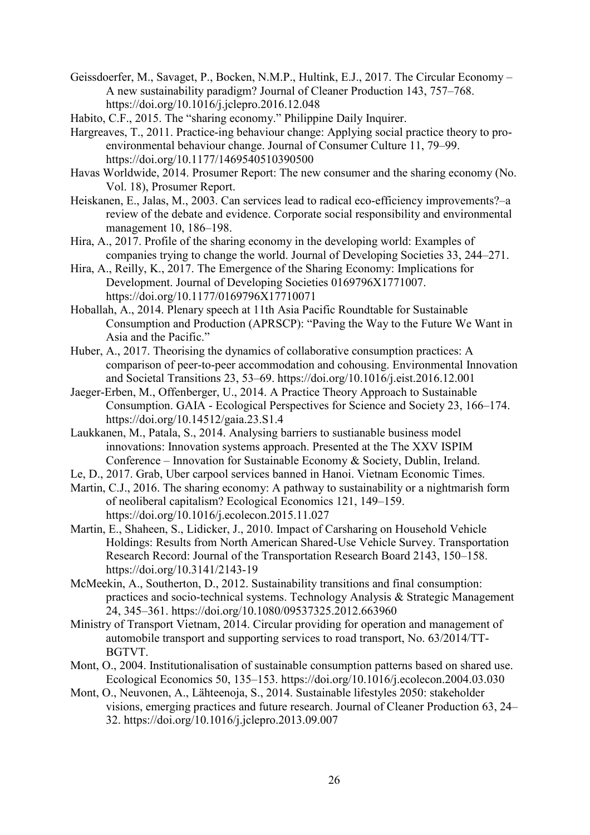- Geissdoerfer, M., Savaget, P., Bocken, N.M.P., Hultink, E.J., 2017. The Circular Economy A new sustainability paradigm? Journal of Cleaner Production 143, 757–768. https://doi.org/10.1016/j.jclepro.2016.12.048
- Habito, C.F., 2015. The "sharing economy." Philippine Daily Inquirer.
- Hargreaves, T., 2011. Practice-ing behaviour change: Applying social practice theory to proenvironmental behaviour change. Journal of Consumer Culture 11, 79–99. https://doi.org/10.1177/1469540510390500
- Havas Worldwide, 2014. Prosumer Report: The new consumer and the sharing economy (No. Vol. 18), Prosumer Report.
- Heiskanen, E., Jalas, M., 2003. Can services lead to radical eco-efficiency improvements?–a review of the debate and evidence. Corporate social responsibility and environmental management 10, 186–198.
- Hira, A., 2017. Profile of the sharing economy in the developing world: Examples of companies trying to change the world. Journal of Developing Societies 33, 244–271.
- Hira, A., Reilly, K., 2017. The Emergence of the Sharing Economy: Implications for Development. Journal of Developing Societies 0169796X1771007. https://doi.org/10.1177/0169796X17710071
- Hoballah, A., 2014. Plenary speech at 11th Asia Pacific Roundtable for Sustainable Consumption and Production (APRSCP): "Paving the Way to the Future We Want in Asia and the Pacific."
- Huber, A., 2017. Theorising the dynamics of collaborative consumption practices: A comparison of peer-to-peer accommodation and cohousing. Environmental Innovation and Societal Transitions 23, 53–69. https://doi.org/10.1016/j.eist.2016.12.001
- Jaeger-Erben, M., Offenberger, U., 2014. A Practice Theory Approach to Sustainable Consumption. GAIA - Ecological Perspectives for Science and Society 23, 166–174. https://doi.org/10.14512/gaia.23.S1.4
- Laukkanen, M., Patala, S., 2014. Analysing barriers to sustianable business model innovations: Innovation systems approach. Presented at the The XXV ISPIM Conference – Innovation for Sustainable Economy & Society, Dublin, Ireland.
- Le, D., 2017. Grab, Uber carpool services banned in Hanoi. Vietnam Economic Times.
- Martin, C.J., 2016. The sharing economy: A pathway to sustainability or a nightmarish form of neoliberal capitalism? Ecological Economics 121, 149–159. https://doi.org/10.1016/j.ecolecon.2015.11.027
- Martin, E., Shaheen, S., Lidicker, J., 2010. Impact of Carsharing on Household Vehicle Holdings: Results from North American Shared-Use Vehicle Survey. Transportation Research Record: Journal of the Transportation Research Board 2143, 150–158. https://doi.org/10.3141/2143-19
- McMeekin, A., Southerton, D., 2012. Sustainability transitions and final consumption: practices and socio-technical systems. Technology Analysis & Strategic Management 24, 345–361. https://doi.org/10.1080/09537325.2012.663960
- Ministry of Transport Vietnam, 2014. Circular providing for operation and management of automobile transport and supporting services to road transport, No. 63/2014/TT-BGTVT.
- Mont, O., 2004. Institutionalisation of sustainable consumption patterns based on shared use. Ecological Economics 50, 135–153. https://doi.org/10.1016/j.ecolecon.2004.03.030
- Mont, O., Neuvonen, A., Lähteenoja, S., 2014. Sustainable lifestyles 2050: stakeholder visions, emerging practices and future research. Journal of Cleaner Production 63, 24– 32. https://doi.org/10.1016/j.jclepro.2013.09.007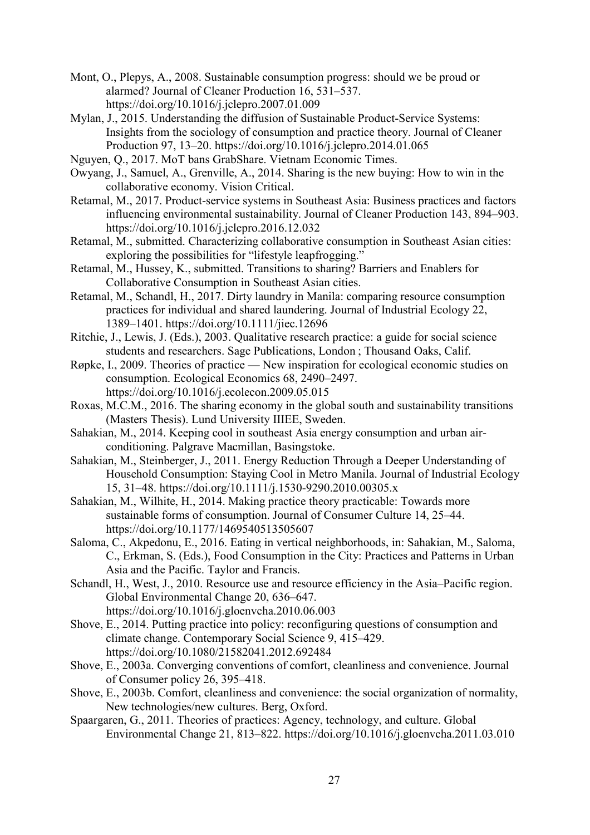- Mont, O., Plepys, A., 2008. Sustainable consumption progress: should we be proud or alarmed? Journal of Cleaner Production 16, 531–537. https://doi.org/10.1016/j.jclepro.2007.01.009
- Mylan, J., 2015. Understanding the diffusion of Sustainable Product-Service Systems: Insights from the sociology of consumption and practice theory. Journal of Cleaner Production 97, 13–20. https://doi.org/10.1016/j.jclepro.2014.01.065
- Nguyen, Q., 2017. MoT bans GrabShare. Vietnam Economic Times.
- Owyang, J., Samuel, A., Grenville, A., 2014. Sharing is the new buying: How to win in the collaborative economy. Vision Critical.
- Retamal, M., 2017. Product-service systems in Southeast Asia: Business practices and factors influencing environmental sustainability. Journal of Cleaner Production 143, 894–903. https://doi.org/10.1016/j.jclepro.2016.12.032
- Retamal, M., submitted. Characterizing collaborative consumption in Southeast Asian cities: exploring the possibilities for "lifestyle leapfrogging."
- Retamal, M., Hussey, K., submitted. Transitions to sharing? Barriers and Enablers for Collaborative Consumption in Southeast Asian cities.
- Retamal, M., Schandl, H., 2017. Dirty laundry in Manila: comparing resource consumption practices for individual and shared laundering. Journal of Industrial Ecology 22, 1389–1401. https://doi.org/10.1111/jiec.12696
- Ritchie, J., Lewis, J. (Eds.), 2003. Qualitative research practice: a guide for social science students and researchers. Sage Publications, London ; Thousand Oaks, Calif.
- Røpke, I., 2009. Theories of practice New inspiration for ecological economic studies on consumption. Ecological Economics 68, 2490–2497. https://doi.org/10.1016/j.ecolecon.2009.05.015
- Roxas, M.C.M., 2016. The sharing economy in the global south and sustainability transitions (Masters Thesis). Lund University IIIEE, Sweden.
- Sahakian, M., 2014. Keeping cool in southeast Asia energy consumption and urban airconditioning. Palgrave Macmillan, Basingstoke.
- Sahakian, M., Steinberger, J., 2011. Energy Reduction Through a Deeper Understanding of Household Consumption: Staying Cool in Metro Manila. Journal of Industrial Ecology 15, 31–48. https://doi.org/10.1111/j.1530-9290.2010.00305.x
- Sahakian, M., Wilhite, H., 2014. Making practice theory practicable: Towards more sustainable forms of consumption. Journal of Consumer Culture 14, 25–44. https://doi.org/10.1177/1469540513505607
- Saloma, C., Akpedonu, E., 2016. Eating in vertical neighborhoods, in: Sahakian, M., Saloma, C., Erkman, S. (Eds.), Food Consumption in the City: Practices and Patterns in Urban Asia and the Pacific. Taylor and Francis.
- Schandl, H., West, J., 2010. Resource use and resource efficiency in the Asia–Pacific region. Global Environmental Change 20, 636–647. https://doi.org/10.1016/j.gloenvcha.2010.06.003
- Shove, E., 2014. Putting practice into policy: reconfiguring questions of consumption and climate change. Contemporary Social Science 9, 415–429. https://doi.org/10.1080/21582041.2012.692484
- Shove, E., 2003a. Converging conventions of comfort, cleanliness and convenience. Journal of Consumer policy 26, 395–418.
- Shove, E., 2003b. Comfort, cleanliness and convenience: the social organization of normality, New technologies/new cultures. Berg, Oxford.
- Spaargaren, G., 2011. Theories of practices: Agency, technology, and culture. Global Environmental Change 21, 813–822. https://doi.org/10.1016/j.gloenvcha.2011.03.010